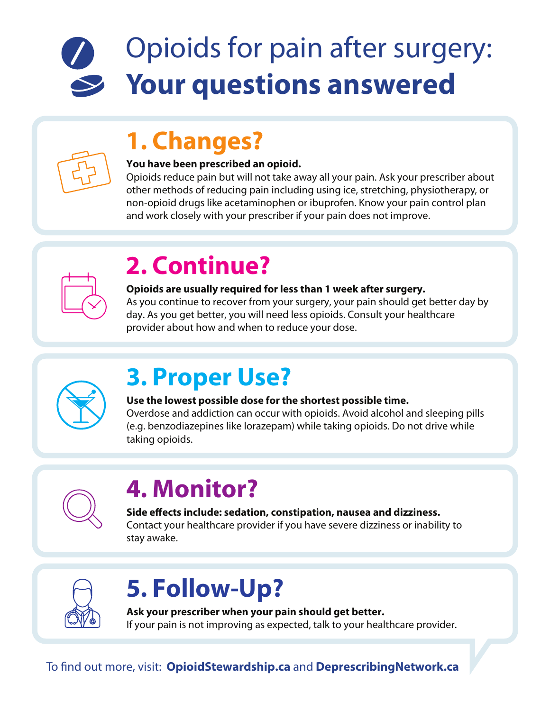# Opioids for pain after surgery: **Your questions answered**

### **1. Changes?**

#### **You have been prescribed an opioid.**

Opioids reduce pain but will not take away all your pain. Ask your prescriber about other methods of reducing pain including using ice, stretching, physiotherapy, or non-opioid drugs like acetaminophen or ibuprofen. Know your pain control plan and work closely with your prescriber if your pain does not improve.



## **2. Continue?**

#### **Opioids are usually required for less than 1 week after surgery.**

As you continue to recover from your surgery, your pain should get better day by day. As you get better, you will need less opioids. Consult your healthcare provider about how and when to reduce your dose.



### **3. Proper Use?**

#### **Use the lowest possible dose for the shortest possible time.**

Overdose and addiction can occur with opioids. Avoid alcohol and sleeping pills (e.g. benzodiazepines like lorazepam) while taking opioids. Do not drive while taking opioids.



# **4. Monitor?**

**Side effects include: sedation, constipation, nausea and dizziness.** Contact your healthcare provider if you have severe dizziness or inability to stay awake.



# **5. Follow-Up?**

**Ask your prescriber when your pain should get better.** If your pain is not improving as expected, talk to your healthcare provider.

To find out more, visit: **OpioidStewardship.ca** and **DeprescribingNetwork.ca**